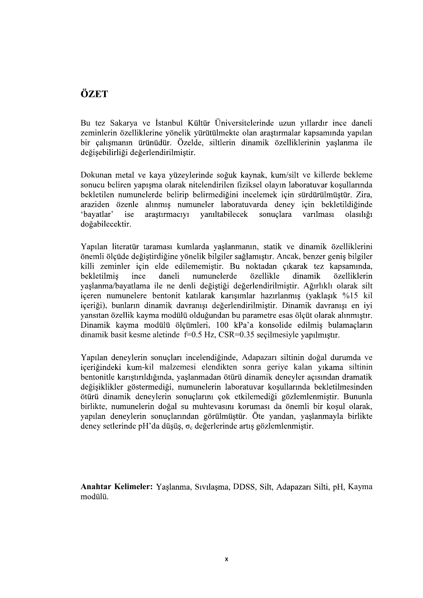## ÖZET

Bu tez Sakarya ve İstanbul Kültür Üniversitelerinde uzun yıllardır ince daneli zeminlerin özelliklerine yönelik yürütülmekte olan araştırmalar kapsamında yapılan bir çalışmanın ürünüdür. Özelde, siltlerin dinamik özelliklerinin yaşlanma ile değisebilirliği değerlendirilmiştir.

Dokunan metal ve kaya yüzeylerinde soğuk kaynak, kum/silt ve killerde bekleme sonucu beliren yapısma olarak nitelendirilen fiziksel olayın laboratuvar kosullarında bekletilen numunelerde belirip belirmediğini incelemek için sürdürülmüştür. Zira, araziden özenle alınmış numuneler laboratuvarda deney için bekletildiğinde 'bavatlar' ise arastırmacıvı vanıltabilecek sonuclara varılması olasılığı doğabilecektir.

Yapılan literatür taraması kumlarda yaşlanmanın, statik ve dinamik özelliklerini önemli ölçüde değiştirdiğine yönelik bilgiler sağlamıştır. Ancak, benzer geniş bilgiler , bekletilmis ince daneli numunelerde özellikle dinamik özelliklerin yaşlanma/bayatlama ile ne denli değiştiği değerlendirilmiştir. Ağırlıklı olarak silt içeren numunelere bentonit katılarak karışımlar hazırlanmış (yaklaşık %15 kil içeriği), bunların dinamik davranışı değerlendirilmiştir. Dinamik davranışı en iyi vansıtan özellik kayma modülü olduğundan bu parametre esas ölçüt olarak alınmıştır. Dinamik kayma modülü ölçümleri, 100 kPa'a konsolide edilmiş bulamaçların dinamik basit kesme aletinde f=0.5 Hz, CSR=0.35 seçilmesiyle yapılmıştır.

Yapılan deneylerin sonuçları incelendiğinde, Adapazarı siltinin doğal durumda ve içeriğindeki kum-kil malzemesi elendikten sonra geriye kalan yıkama siltinin bentonitle karıştırıldığında, yaşlanmadan ötürü dinamik deneyler açısından dramatik<br>değişiklikler göstermediği, numunelerin laboratuvar koşullarında bekletilmesinden<br>ötürü dinamik deneylerin sonuçlarını çok etkilemediği gö yapılan deneylerin sonuçlarından görülmüştür. Öte yandan, yaşlanmayla birlikte deney setlerinde pH'da düsüs,  $\sigma_c$  değerlerinde artıs gözlemlenmistir.

Anahtar Kelimeler: Yaşlanma, Sıvılaşma, DDSS, Silt, Adapazarı Silti, pH, Kayma modülü.